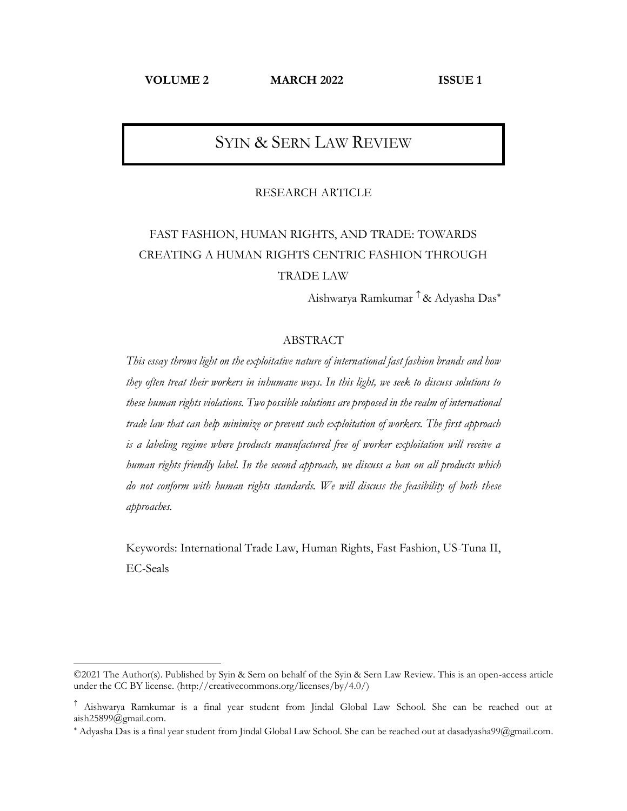**VOLUME 2 MARCH 2022 ISSUE 1**

# SYIN & SERN LAW REVIEW

#### RESEARCH ARTICLE

# FAST FASHION, HUMAN RIGHTS, AND TRADE: TOWARDS CREATING A HUMAN RIGHTS CENTRIC FASHION THROUGH TRADE LAW

Aishwarya Ramkumar <sup>↑</sup> & Adyasha Das<sup>\*</sup>

### ABSTRACT

*This essay throws light on the exploitative nature of international fast fashion brands and how they often treat their workers in inhumane ways. In this light, we seek to discuss solutions to these human rights violations. Two possible solutions are proposed in the realm of international trade law that can help minimize or prevent such exploitation of workers. The first approach is a labeling regime where products manufactured free of worker exploitation will receive a human rights friendly label. In the second approach, we discuss a ban on all products which do not conform with human rights standards. We will discuss the feasibility of both these approaches.* 

Keywords: International Trade Law, Human Rights, Fast Fashion, US-Tuna II, EC-Seals

<sup>©2021</sup> The Author(s). Published by Syin & Sern on behalf of the Syin & Sern Law Review. This is an open-access article under the CC BY license. [\(http://creativecommons.org/licenses/by/4.0/\)](http://creativecommons.org/licenses/by/4.0/)

Aishwarya Ramkumar is a final year student from Jindal Global Law School. She can be reached out at [aish25899@gmail.com.](mailto:aish25899@gmail.com)

Adyasha Das is a final year student from Jindal Global Law School. She can be reached out a[t dasadyasha99@gmail.com.](mailto:dasadyasha99@gmail.com)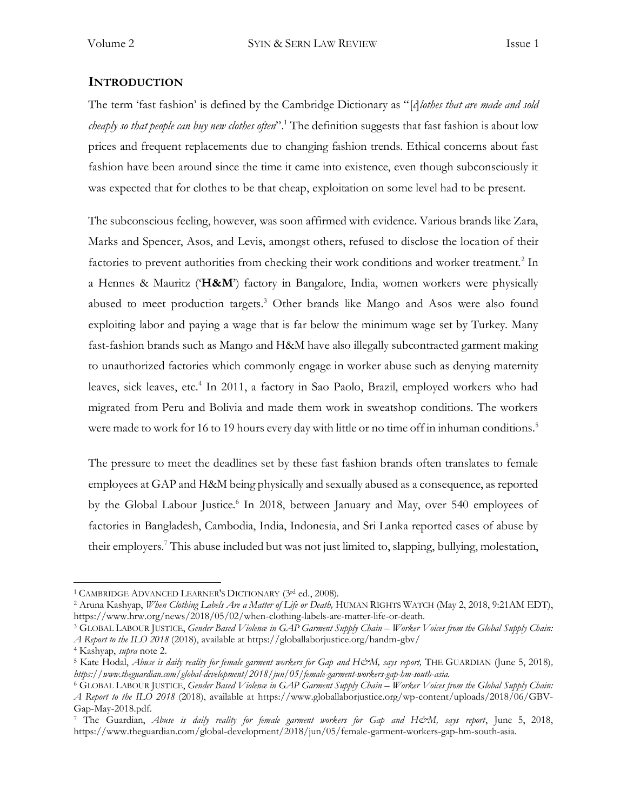### **INTRODUCTION**

The term 'fast fashion' is defined by the Cambridge Dictionary as "[*c*]*lothes that are made and sold cheaply so that people can buy new clothes often*".<sup>1</sup> The definition suggests that fast fashion is about low prices and frequent replacements due to changing fashion trends. Ethical concerns about fast fashion have been around since the time it came into existence, even though subconsciously it was expected that for clothes to be that cheap, exploitation on some level had to be present.

The subconscious feeling, however, was soon affirmed with evidence. Various brands like Zara, Marks and Spencer, Asos, and Levis, amongst others, refused to disclose the location of their factories to prevent authorities from checking their work conditions and worker treatment.<sup>2</sup> In a Hennes & Mauritz ('**H&M**') factory in Bangalore, India, women workers were physically abused to meet production targets.<sup>3</sup> Other brands like Mango and Asos were also found exploiting labor and paying a wage that is far below the minimum wage set by Turkey. Many fast-fashion brands such as Mango and H&M have also illegally subcontracted garment making to unauthorized factories which commonly engage in worker abuse such as denying maternity leaves, sick leaves, etc.<sup>4</sup> In 2011, a factory in Sao Paolo, Brazil, employed workers who had migrated from Peru and Bolivia and made them work in sweatshop conditions. The workers were made to work for 16 to 19 hours every day with little or no time off in inhuman conditions.<sup>5</sup>

The pressure to meet the deadlines set by these fast fashion brands often translates to female employees at GAP and H&M being physically and sexually abused as a consequence, as reported by the Global Labour Justice.<sup>6</sup> In 2018, between January and May, over 540 employees of factories in Bangladesh, Cambodia, India, Indonesia, and Sri Lanka reported cases of abuse by their employers.<sup>7</sup> This abuse included but was not just limited to, slapping, bullying, molestation,

<sup>&</sup>lt;sup>1</sup> CAMBRIDGE ADVANCED LEARNER'S DICTIONARY (3rd ed., 2008).

<sup>2</sup> Aruna Kashyap, *When Clothing Labels Are a Matter of Life or Death,* HUMAN RIGHTS WATCH (May 2, 2018, 9:21AM EDT), [https://www.hrw.org/news/2018/05/02/when-clothing-labels-are-matter-life-or-death.](https://www.hrw.org/news/2018/05/02/when-clothing-labels-are-matter-life-or-death)

<sup>3</sup> GLOBAL LABOUR JUSTICE, *Gender Based Violence in GAP Garment Supply Chain – Worker Voices from the Global Supply Chain: A Report to the ILO 2018* (2018), available at https://globallaborjustice.org/handm-gbv/

<sup>4</sup> Kashyap, *supra* note 2.

<sup>5</sup> Kate Hodal, *Abuse is daily reality for female garment workers for Gap and H&M, says report,* THE GUARDIAN (June 5, 2018)*, https://www.theguardian.com/global-development/2018/jun/05/female-garment-workers-gap-hm-south-asia.*

<sup>6</sup> GLOBAL LABOUR JUSTICE, *Gender Based Violence in GAP Garment Supply Chain – Worker Voices from the Global Supply Chain: A Report to the ILO 2018* (2018), available at https://www.globallaborjustice.org/wp-content/uploads/2018/06/GBV-Gap-May-2018.pdf.

<sup>&</sup>lt;sup>7</sup> The Guardian, Abuse is daily reality for female garment workers for Gap and H&M, says report, June 5, 2018, https://www.theguardian.com/global-development/2018/jun/05/female-garment-workers-gap-hm-south-asia.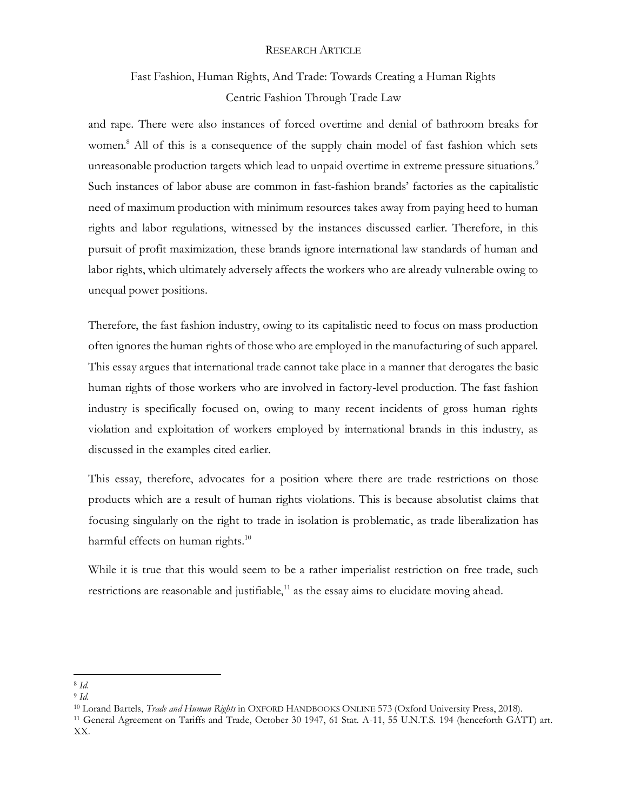# Fast Fashion, Human Rights, And Trade: Towards Creating a Human Rights Centric Fashion Through Trade Law

and rape. There were also instances of forced overtime and denial of bathroom breaks for women.<sup>8</sup> All of this is a consequence of the supply chain model of fast fashion which sets unreasonable production targets which lead to unpaid overtime in extreme pressure situations.<sup>9</sup> Such instances of labor abuse are common in fast-fashion brands' factories as the capitalistic need of maximum production with minimum resources takes away from paying heed to human rights and labor regulations, witnessed by the instances discussed earlier. Therefore, in this pursuit of profit maximization, these brands ignore international law standards of human and labor rights, which ultimately adversely affects the workers who are already vulnerable owing to unequal power positions.

Therefore, the fast fashion industry, owing to its capitalistic need to focus on mass production often ignores the human rights of those who are employed in the manufacturing of such apparel. This essay argues that international trade cannot take place in a manner that derogates the basic human rights of those workers who are involved in factory-level production. The fast fashion industry is specifically focused on, owing to many recent incidents of gross human rights violation and exploitation of workers employed by international brands in this industry, as discussed in the examples cited earlier.

This essay, therefore, advocates for a position where there are trade restrictions on those products which are a result of human rights violations. This is because absolutist claims that focusing singularly on the right to trade in isolation is problematic, as trade liberalization has harmful effects on human rights.<sup>10</sup>

While it is true that this would seem to be a rather imperialist restriction on free trade, such restrictions are reasonable and justifiable, $^{11}$  as the essay aims to elucidate moving ahead.

<sup>8</sup> *Id.* 

<sup>9</sup> *Id.* 

<sup>10</sup> Lorand Bartels, *Trade and Human Rights* in OXFORD HANDBOOKS ONLINE 573 (Oxford University Press, 2018).

<sup>11</sup> General Agreement on Tariffs and Trade, October 30 1947, 61 Stat. A-11, 55 U.N.T.S. 194 (henceforth GATT) art. XX.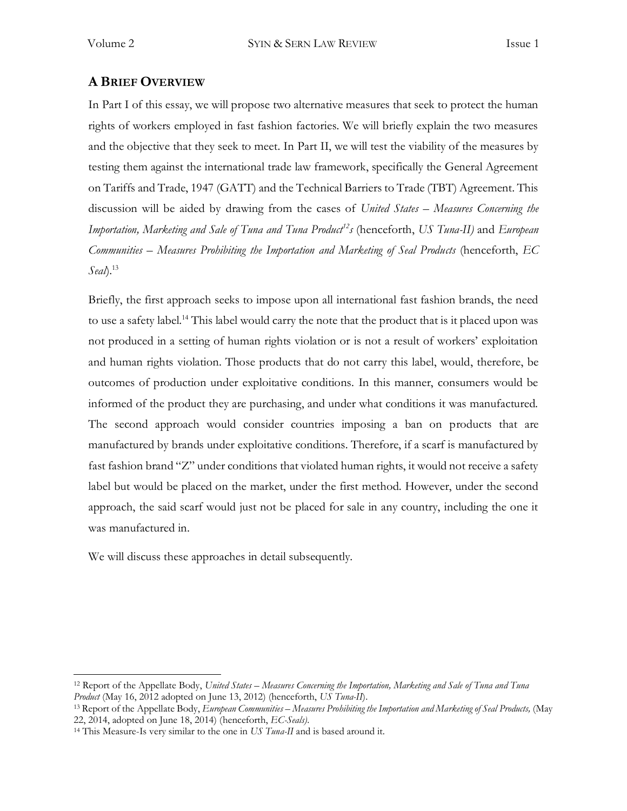## **A BRIEF OVERVIEW**

In Part I of this essay, we will propose two alternative measures that seek to protect the human rights of workers employed in fast fashion factories. We will briefly explain the two measures and the objective that they seek to meet. In Part II, we will test the viability of the measures by testing them against the international trade law framework, specifically the General Agreement on Tariffs and Trade, 1947 (GATT) and the Technical Barriers to Trade (TBT) Agreement. This discussion will be aided by drawing from the cases of *United States – Measures Concerning the Importation, Marketing and Sale of Tuna and Tuna Product<sup>12</sup>s* (henceforth, *US Tuna-II)* and *European Communities – Measures Prohibiting the Importation and Marketing of Seal Products* (henceforth, *EC Seal*).<sup>13</sup>

Briefly, the first approach seeks to impose upon all international fast fashion brands, the need to use a safety label.<sup>14</sup> This label would carry the note that the product that is it placed upon was not produced in a setting of human rights violation or is not a result of workers' exploitation and human rights violation. Those products that do not carry this label, would, therefore, be outcomes of production under exploitative conditions. In this manner, consumers would be informed of the product they are purchasing, and under what conditions it was manufactured. The second approach would consider countries imposing a ban on products that are manufactured by brands under exploitative conditions. Therefore, if a scarf is manufactured by fast fashion brand "Z" under conditions that violated human rights, it would not receive a safety label but would be placed on the market, under the first method. However, under the second approach, the said scarf would just not be placed for sale in any country, including the one it was manufactured in.

We will discuss these approaches in detail subsequently.

<sup>12</sup> Report of the Appellate Body, *United States – Measures Concerning the Importation, Marketing and Sale of Tuna and Tuna Product* (May 16, 2012 adopted on June 13, 2012) (henceforth, *US Tuna-II*).

<sup>13</sup> Report of the Appellate Body, *European Communities – Measures Prohibiting the Importation and Marketing of Seal Products,* (May 22, 2014, adopted on June 18, 2014) (henceforth, *EC-Seals)*.

<sup>14</sup> This Measure-Is very similar to the one in *US Tuna-II* and is based around it.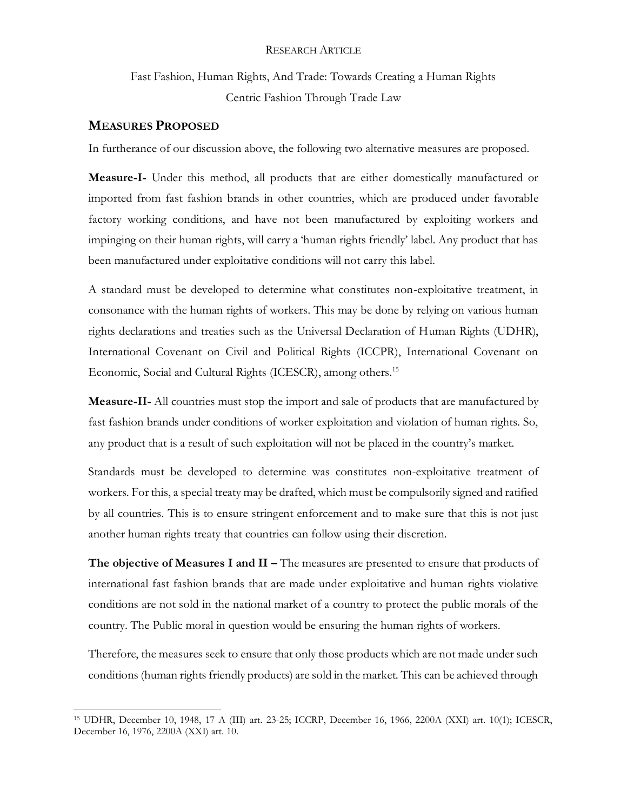Fast Fashion, Human Rights, And Trade: Towards Creating a Human Rights Centric Fashion Through Trade Law

### **MEASURES PROPOSED**

In furtherance of our discussion above, the following two alternative measures are proposed.

**Measure-I-** Under this method, all products that are either domestically manufactured or imported from fast fashion brands in other countries, which are produced under favorable factory working conditions, and have not been manufactured by exploiting workers and impinging on their human rights, will carry a 'human rights friendly' label. Any product that has been manufactured under exploitative conditions will not carry this label.

A standard must be developed to determine what constitutes non-exploitative treatment, in consonance with the human rights of workers. This may be done by relying on various human rights declarations and treaties such as the Universal Declaration of Human Rights (UDHR), International Covenant on Civil and Political Rights (ICCPR), International Covenant on Economic, Social and Cultural Rights (ICESCR), among others.<sup>15</sup>

**Measure-II-** All countries must stop the import and sale of products that are manufactured by fast fashion brands under conditions of worker exploitation and violation of human rights. So, any product that is a result of such exploitation will not be placed in the country's market.

Standards must be developed to determine was constitutes non-exploitative treatment of workers. For this, a special treaty may be drafted, which must be compulsorily signed and ratified by all countries. This is to ensure stringent enforcement and to make sure that this is not just another human rights treaty that countries can follow using their discretion.

**The objective of Measures I and II –** The measures are presented to ensure that products of international fast fashion brands that are made under exploitative and human rights violative conditions are not sold in the national market of a country to protect the public morals of the country. The Public moral in question would be ensuring the human rights of workers.

Therefore, the measures seek to ensure that only those products which are not made under such conditions (human rights friendly products) are sold in the market. This can be achieved through

<sup>15</sup> UDHR, December 10, 1948, 17 A (III) art. 23-25; ICCRP, December 16, 1966, 2200A (XXI) art. 10(1); ICESCR, December 16, 1976, 2200A (XXI) art. 10.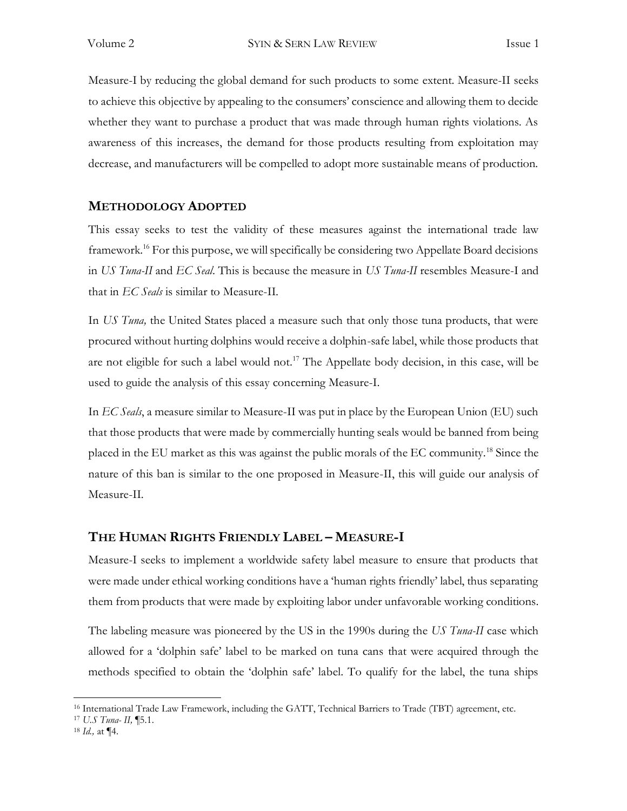Measure-I by reducing the global demand for such products to some extent. Measure-II seeks to achieve this objective by appealing to the consumers' conscience and allowing them to decide whether they want to purchase a product that was made through human rights violations. As awareness of this increases, the demand for those products resulting from exploitation may decrease, and manufacturers will be compelled to adopt more sustainable means of production.

## **METHODOLOGY ADOPTED**

This essay seeks to test the validity of these measures against the international trade law framework.<sup>16</sup> For this purpose, we will specifically be considering two Appellate Board decisions in *US Tuna-II* and *EC Seal*. This is because the measure in *US Tuna-II* resembles Measure-I and that in *EC Seals* is similar to Measure-II.

In *US Tuna*, the United States placed a measure such that only those tuna products, that were procured without hurting dolphins would receive a dolphin-safe label, while those products that are not eligible for such a label would not.<sup>17</sup> The Appellate body decision, in this case, will be used to guide the analysis of this essay concerning Measure-I.

In *EC Seals*, a measure similar to Measure-II was put in place by the European Union (EU) such that those products that were made by commercially hunting seals would be banned from being placed in the EU market as this was against the public morals of the EC community.<sup>18</sup> Since the nature of this ban is similar to the one proposed in Measure-II, this will guide our analysis of Measure-II.

## **THE HUMAN RIGHTS FRIENDLY LABEL – MEASURE-I**

Measure-I seeks to implement a worldwide safety label measure to ensure that products that were made under ethical working conditions have a 'human rights friendly' label, thus separating them from products that were made by exploiting labor under unfavorable working conditions.

The labeling measure was pioneered by the US in the 1990s during the *US Tuna-II* case which allowed for a 'dolphin safe' label to be marked on tuna cans that were acquired through the methods specified to obtain the 'dolphin safe' label. To qualify for the label, the tuna ships

<sup>16</sup> International Trade Law Framework, including the GATT, Technical Barriers to Trade (TBT) agreement, etc.

<sup>17</sup> *U.S Tuna- II,* ¶5.1.

<sup>18</sup> *Id.,* at ¶4.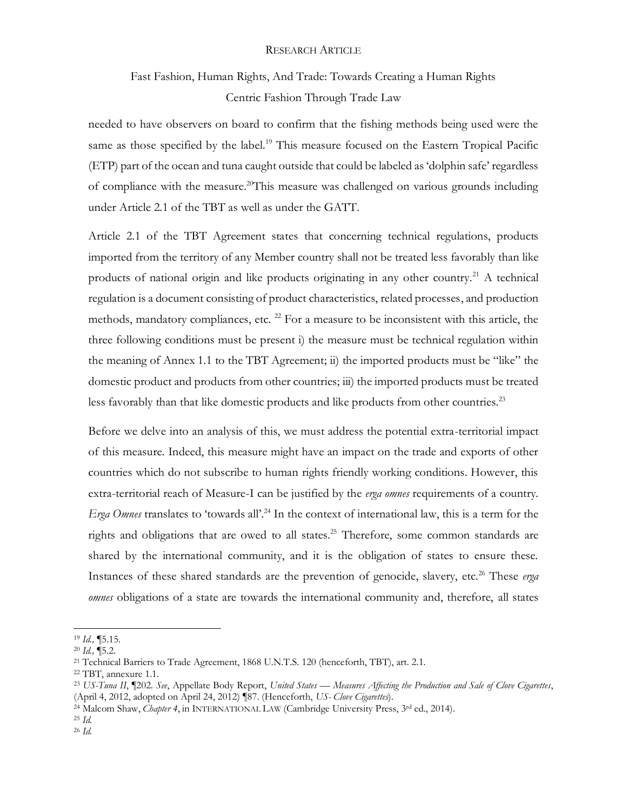# Fast Fashion, Human Rights, And Trade: Towards Creating a Human Rights Centric Fashion Through Trade Law

needed to have observers on board to confirm that the fishing methods being used were the same as those specified by the label.<sup>19</sup> This measure focused on the Eastern Tropical Pacific (ETP) part of the ocean and tuna caught outside that could be labeled as 'dolphin safe' regardless of compliance with the measure.<sup>20</sup>This measure was challenged on various grounds including under Article 2.1 of the TBT as well as under the GATT.

Article 2.1 of the TBT Agreement states that concerning technical regulations, products imported from the territory of any Member country shall not be treated less favorably than like products of national origin and like products originating in any other country.<sup>21</sup> A technical regulation is a document consisting of product characteristics, related processes, and production methods, mandatory compliances, etc.  $^{22}$  For a measure to be inconsistent with this article, the three following conditions must be present i) the measure must be technical regulation within the meaning of Annex 1.1 to the TBT Agreement; ii) the imported products must be "like" the domestic product and products from other countries; iii) the imported products must be treated less favorably than that like domestic products and like products from other countries.<sup>23</sup>

Before we delve into an analysis of this, we must address the potential extra-territorial impact of this measure. Indeed, this measure might have an impact on the trade and exports of other countries which do not subscribe to human rights friendly working conditions. However, this extra-territorial reach of Measure-I can be justified by the *erga omnes* requirements of a country. *Erga Omnes* translates to 'towards all'.<sup>24</sup> In the context of international law, this is a term for the rights and obligations that are owed to all states.<sup>25</sup> Therefore, some common standards are shared by the international community, and it is the obligation of states to ensure these. Instances of these shared standards are the prevention of genocide, slavery, etc.<sup>26</sup> These *erga omnes* obligations of a state are towards the international community and, therefore, all states

<sup>19</sup> *Id.,* ¶5.15.

<sup>20</sup> *Id.,* ¶5.2.

<sup>21</sup> Technical Barriers to Trade Agreement, 1868 U.N.T.S. 120 (henceforth, TBT), art. 2.1.

<sup>22</sup> TBT, annexure 1.1.

<sup>23</sup> *US-Tuna II*, ¶202. *See*, Appellate Body Report, *United States — Measures Affecting the Production and Sale of Clove Cigarettes*, (April 4, 2012, adopted on April 24, 2012) ¶87. (Henceforth, *US- Clove Cigarettes*).

<sup>&</sup>lt;sup>24</sup> Malcom Shaw, *Chapter 4*, in INTERNATIONAL LAW (Cambridge University Press, 3rd ed., 2014).

<sup>25</sup> *Id.* 

<sup>26</sup> *Id.*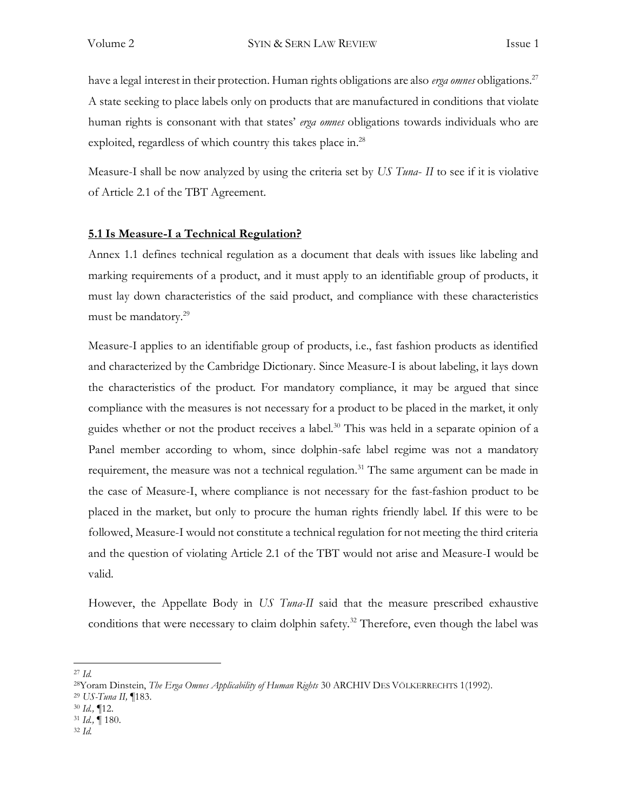have a legal interest in their protection. Human rights obligations are also *erga omnes* obligations.<sup>27</sup> A state seeking to place labels only on products that are manufactured in conditions that violate human rights is consonant with that states' *erga omnes* obligations towards individuals who are exploited, regardless of which country this takes place in.<sup>28</sup>

Measure-I shall be now analyzed by using the criteria set by *US Tuna*- *II* to see if it is violative of Article 2.1 of the TBT Agreement.

### **5.1 Is Measure-I a Technical Regulation?**

Annex 1.1 defines technical regulation as a document that deals with issues like labeling and marking requirements of a product, and it must apply to an identifiable group of products, it must lay down characteristics of the said product, and compliance with these characteristics must be mandatory.<sup>29</sup>

Measure-I applies to an identifiable group of products, i.e., fast fashion products as identified and characterized by the Cambridge Dictionary. Since Measure-I is about labeling, it lays down the characteristics of the product. For mandatory compliance, it may be argued that since compliance with the measures is not necessary for a product to be placed in the market, it only guides whether or not the product receives a label.<sup>30</sup> This was held in a separate opinion of a Panel member according to whom, since dolphin-safe label regime was not a mandatory requirement, the measure was not a technical regulation.<sup>31</sup> The same argument can be made in the case of Measure-I, where compliance is not necessary for the fast-fashion product to be placed in the market, but only to procure the human rights friendly label. If this were to be followed, Measure-I would not constitute a technical regulation for not meeting the third criteria and the question of violating Article 2.1 of the TBT would not arise and Measure-I would be valid.

However, the Appellate Body in *US Tuna-II* said that the measure prescribed exhaustive conditions that were necessary to claim dolphin safety.<sup>32</sup> Therefore, even though the label was

- <sup>29</sup> *US-Tuna II, ¶*183.
- <sup>30</sup> *Id.,* ¶12.
- <sup>31</sup> *Id., ¶* 180.
- <sup>32</sup> *Id.*

<sup>27</sup> *Id.* 

<sup>28</sup>Yoram Dinstein, *The Erga Omnes Applicability of Human Rights* 30 ARCHIV DES VÖLKERRECHTS 1(1992).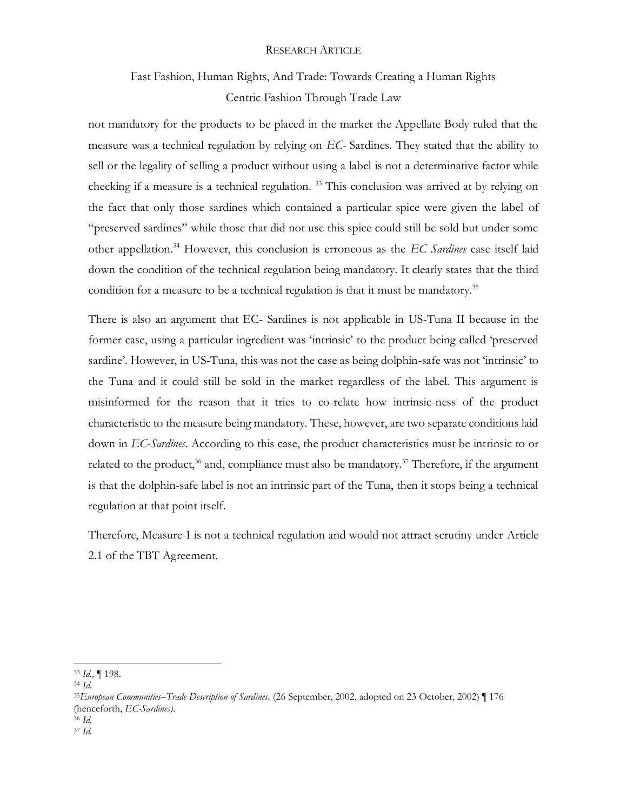# Fast Fashion, Human Rights, And Trade: Towards Creating a Human Rights Centric Fashion Through Trade Law

not mandatory for the products to be placed in the market the Appellate Body ruled that the measure was a technical regulation by relying on *EC-* Sardines. They stated that the ability to sell or the legality of selling a product without using a label is not a determinative factor while checking if a measure is a technical regulation. <sup>33</sup> This conclusion was arrived at by relying on the fact that only those sardines which contained a particular spice were given the label of "preserved sardines" while those that did not use this spice could still be sold but under some other appellation.<sup>34</sup> However, this conclusion is erroneous as the *EC Sardines* case itself laid down the condition of the technical regulation being mandatory. It clearly states that the third condition for a measure to be a technical regulation is that it must be mandatory.<sup>35</sup>

There is also an argument that EC- Sardines is not applicable in US-Tuna II because in the former case, using a particular ingredient was 'intrinsic' to the product being called 'preserved sardine'. However, in US-Tuna, this was not the case as being dolphin-safe was not 'intrinsic' to the Tuna and it could still be sold in the market regardless of the label. This argument is misinformed for the reason that it tries to co-relate how intrinsic-ness of the product characteristic to the measure being mandatory. These, however, are two separate conditions laid down in *EC-Sardines*. According to this case, the product characteristics must be intrinsic to or related to the product,<sup>36</sup> and, compliance must also be mandatory.<sup>37</sup> Therefore, if the argument is that the dolphin-safe label is not an intrinsic part of the Tuna, then it stops being a technical regulation at that point itself.

Therefore, Measure-I is not a technical regulation and would not attract scrutiny under Article 2.1 of the TBT Agreement.

<sup>33</sup> *Id., ¶* 198.

<sup>34</sup> *Id.*

<sup>35</sup>*European Communities–Trade Description of Sardines,* (26 September, 2002, adopted on 23 October, 2002) *¶* 176 (henceforth, *EC-Sardines)*. <sup>36</sup> *Id.*

<sup>37</sup> *Id.*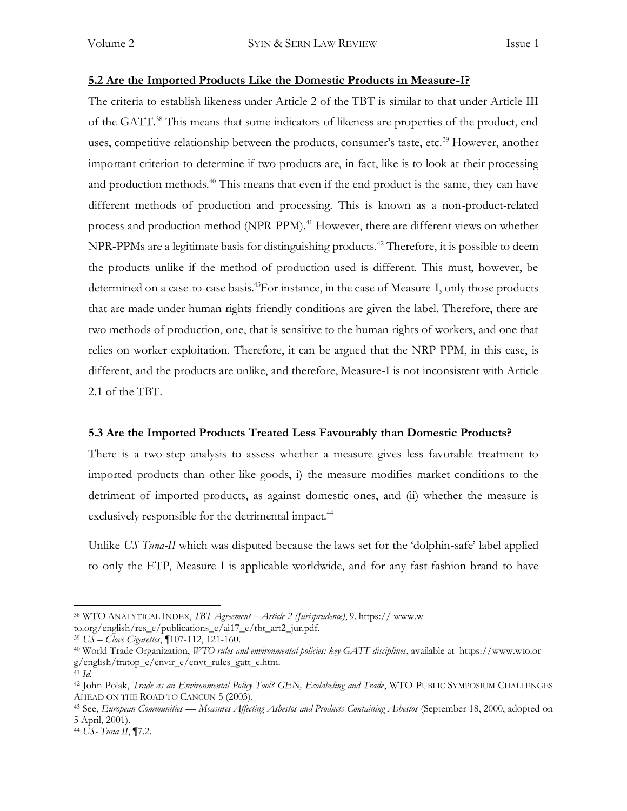#### **5.2 Are the Imported Products Like the Domestic Products in Measure-I?**

The criteria to establish likeness under Article 2 of the TBT is similar to that under Article III of the GATT.<sup>38</sup> This means that some indicators of likeness are properties of the product, end uses, competitive relationship between the products, consumer's taste, etc.<sup>39</sup> However, another important criterion to determine if two products are, in fact, like is to look at their processing and production methods.<sup>40</sup> This means that even if the end product is the same, they can have different methods of production and processing. This is known as a non-product-related process and production method (NPR-PPM).<sup>41</sup> However, there are different views on whether NPR-PPMs are a legitimate basis for distinguishing products.<sup>42</sup> Therefore, it is possible to deem the products unlike if the method of production used is different. This must, however, be determined on a case-to-case basis.<sup>43</sup>For instance, in the case of Measure-I, only those products that are made under human rights friendly conditions are given the label. Therefore, there are two methods of production, one, that is sensitive to the human rights of workers, and one that relies on worker exploitation. Therefore, it can be argued that the NRP PPM, in this case, is different, and the products are unlike, and therefore, Measure-I is not inconsistent with Article 2.1 of the TBT.

#### **5.3 Are the Imported Products Treated Less Favourably than Domestic Products?**

There is a two-step analysis to assess whether a measure gives less favorable treatment to imported products than other like goods, i) the measure modifies market conditions to the detriment of imported products, as against domestic ones, and (ii) whether the measure is exclusively responsible for the detrimental impact.<sup>44</sup>

Unlike *US Tuna-II* which was disputed because the laws set for the 'dolphin-safe' label applied to only the ETP, Measure-I is applicable worldwide, and for any fast-fashion brand to have

<sup>38</sup> WTO ANALYTICAL INDEX, *TBT Agreement – Article 2 (Jurisprudence)*, 9. https:// www.w

to.org/english/res\_e/publications\_e/ai17\_e/tbt\_art2\_jur.pdf.

<sup>39</sup> *US – Clove Cigarettes*, ¶107-112, 121-160.

<sup>40</sup> World Trade Organization, *WTO rules and environmental policies: key GATT disciplines*, available at https://www.wto.or g/english/tratop\_e/envir\_e/envt\_rules\_gatt\_e.htm.

<sup>41</sup> *Id.* 

<sup>42</sup> John Polak, *Trade as an Environmental Policy Tool? GEN, Ecolabeling and Trade*, WTO PUBLIC SYMPOSIUM CHALLENGES AHEAD ON THE ROAD TO CANCUN 5 (2003).

<sup>43</sup> See, *European Communities — Measures Affecting Asbestos and Products Containing Asbestos* (September 18, 2000, adopted on 5 April, 2001).

<sup>44</sup> *US- Tuna II*, ¶7.2.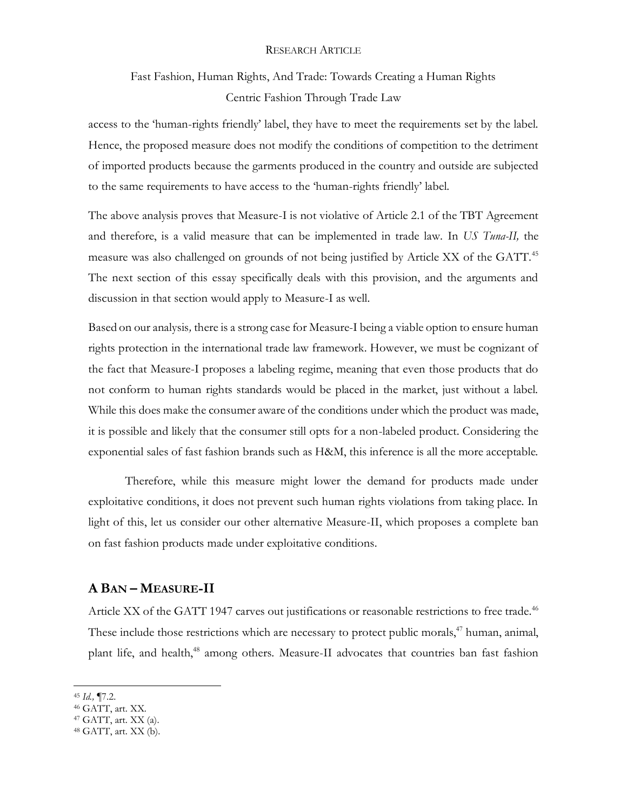## Fast Fashion, Human Rights, And Trade: Towards Creating a Human Rights Centric Fashion Through Trade Law

access to the 'human-rights friendly' label, they have to meet the requirements set by the label. Hence, the proposed measure does not modify the conditions of competition to the detriment of imported products because the garments produced in the country and outside are subjected to the same requirements to have access to the 'human-rights friendly' label.

The above analysis proves that Measure-I is not violative of Article 2.1 of the TBT Agreement and therefore, is a valid measure that can be implemented in trade law. In *US Tuna-II,* the measure was also challenged on grounds of not being justified by Article XX of the GATT.<sup>45</sup> The next section of this essay specifically deals with this provision, and the arguments and discussion in that section would apply to Measure-I as well.

Based on our analysis*,* there is a strong case for Measure-I being a viable option to ensure human rights protection in the international trade law framework. However, we must be cognizant of the fact that Measure-I proposes a labeling regime, meaning that even those products that do not conform to human rights standards would be placed in the market, just without a label. While this does make the consumer aware of the conditions under which the product was made, it is possible and likely that the consumer still opts for a non-labeled product. Considering the exponential sales of fast fashion brands such as H&M, this inference is all the more acceptable.

Therefore, while this measure might lower the demand for products made under exploitative conditions, it does not prevent such human rights violations from taking place. In light of this, let us consider our other alternative Measure-II, which proposes a complete ban on fast fashion products made under exploitative conditions.

### **A BAN – MEASURE-II**

Article XX of the GATT 1947 carves out justifications or reasonable restrictions to free trade.<sup>46</sup> These include those restrictions which are necessary to protect public morals,<sup>47</sup> human, animal, plant life, and health,<sup>48</sup> among others. Measure-II advocates that countries ban fast fashion

<sup>45</sup> *Id.,* ¶7.2.

<sup>46</sup> GATT, art. XX.

<sup>47</sup> GATT, art. XX (a).

<sup>48</sup> GATT, art. XX (b).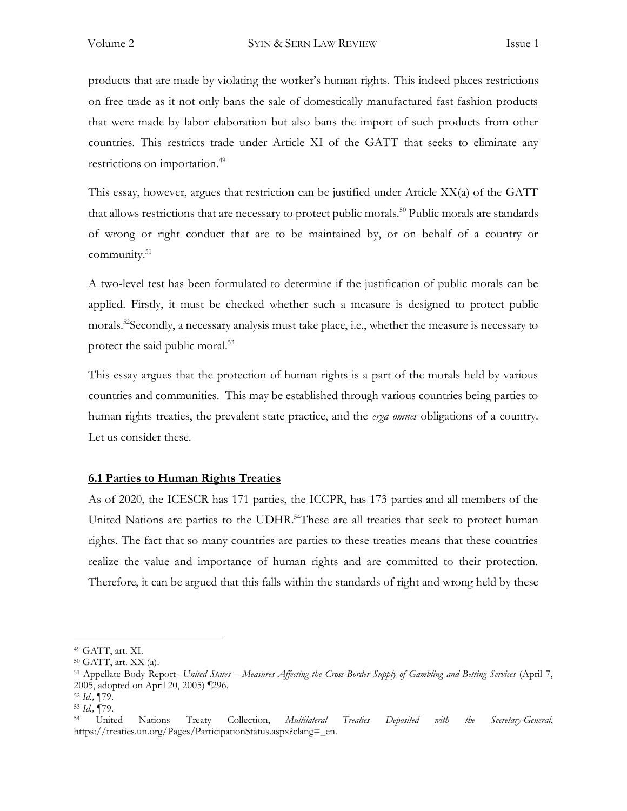products that are made by violating the worker's human rights. This indeed places restrictions on free trade as it not only bans the sale of domestically manufactured fast fashion products that were made by labor elaboration but also bans the import of such products from other countries. This restricts trade under Article XI of the GATT that seeks to eliminate any restrictions on importation.<sup>49</sup>

This essay, however, argues that restriction can be justified under Article XX(a) of the GATT that allows restrictions that are necessary to protect public morals.<sup>50</sup> Public morals are standards of wrong or right conduct that are to be maintained by, or on behalf of a country or community.<sup>51</sup>

A two-level test has been formulated to determine if the justification of public morals can be applied. Firstly, it must be checked whether such a measure is designed to protect public morals.<sup>52</sup>Secondly, a necessary analysis must take place, i.e., whether the measure is necessary to protect the said public moral.<sup>53</sup>

This essay argues that the protection of human rights is a part of the morals held by various countries and communities. This may be established through various countries being parties to human rights treaties, the prevalent state practice, and the *erga omnes* obligations of a country. Let us consider these.

### **6.1 Parties to Human Rights Treaties**

As of 2020, the ICESCR has 171 parties, the ICCPR, has 173 parties and all members of the United Nations are parties to the UDHR.<sup>54</sup>These are all treaties that seek to protect human rights. The fact that so many countries are parties to these treaties means that these countries realize the value and importance of human rights and are committed to their protection. Therefore, it can be argued that this falls within the standards of right and wrong held by these

<sup>49</sup> GATT, art. XI.

<sup>50</sup> GATT, art. XX (a).

<sup>51</sup> Appellate Body Report- *United States – Measures Affecting the Cross-Border Supply of Gambling and Betting Services* (April 7, 2005, adopted on April 20, 2005) ¶296.

<sup>52</sup> *Id.,* ¶79.

<sup>53</sup> *Id.,* ¶79.

<sup>54</sup> United Nations Treaty Collection, *Multilateral Treaties Deposited with the Secretary-General*, https://treaties.un.org/Pages/ParticipationStatus.aspx?clang=\_en.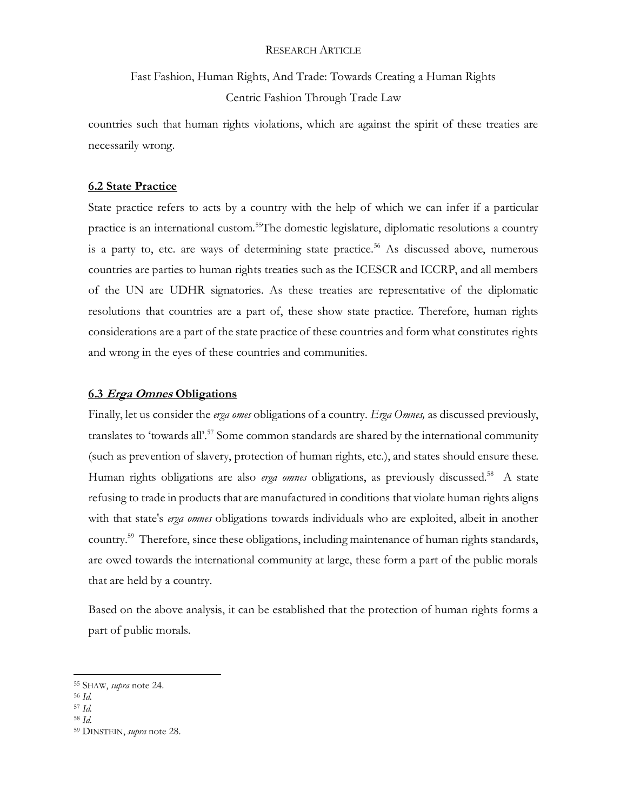# Fast Fashion, Human Rights, And Trade: Towards Creating a Human Rights Centric Fashion Through Trade Law

countries such that human rights violations, which are against the spirit of these treaties are necessarily wrong.

### **6.2 State Practice**

State practice refers to acts by a country with the help of which we can infer if a particular practice is an international custom.<sup>55</sup>The domestic legislature, diplomatic resolutions a country is a party to, etc. are ways of determining state practice.<sup>56</sup> As discussed above, numerous countries are parties to human rights treaties such as the ICESCR and ICCRP, and all members of the UN are UDHR signatories. As these treaties are representative of the diplomatic resolutions that countries are a part of, these show state practice. Therefore, human rights considerations are a part of the state practice of these countries and form what constitutes rights and wrong in the eyes of these countries and communities.

### **6.3 Erga Omnes Obligations**

Finally, let us consider the *erga omes* obligations of a country. *Erga Omnes,* as discussed previously, translates to 'towards all'.<sup>57</sup> Some common standards are shared by the international community (such as prevention of slavery, protection of human rights, etc.), and states should ensure these. Human rights obligations are also *erga omnes* obligations, as previously discussed.<sup>58</sup> A state refusing to trade in products that are manufactured in conditions that violate human rights aligns with that state's *erga omnes* obligations towards individuals who are exploited, albeit in another country.<sup>59</sup> Therefore, since these obligations, including maintenance of human rights standards, are owed towards the international community at large, these form a part of the public morals that are held by a country.

Based on the above analysis, it can be established that the protection of human rights forms a part of public morals.

<sup>55</sup> SHAW, *supra* note 24.

<sup>56</sup> *Id.* 

<sup>57</sup> *Id.* 

<sup>58</sup> *Id.*

<sup>59</sup> DINSTEIN, *supra* note 28.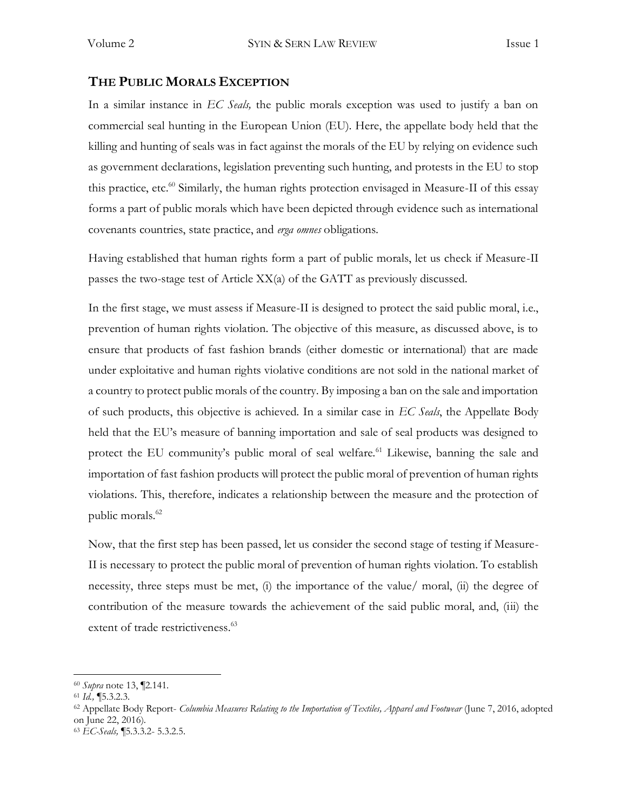### **THE PUBLIC MORALS EXCEPTION**

In a similar instance in *EC Seals,* the public morals exception was used to justify a ban on commercial seal hunting in the European Union (EU). Here, the appellate body held that the killing and hunting of seals was in fact against the morals of the EU by relying on evidence such as government declarations, legislation preventing such hunting, and protests in the EU to stop this practice, etc.<sup>60</sup> Similarly, the human rights protection envisaged in Measure-II of this essay forms a part of public morals which have been depicted through evidence such as international covenants countries, state practice, and *erga omnes* obligations.

Having established that human rights form a part of public morals, let us check if Measure-II passes the two-stage test of Article XX(a) of the GATT as previously discussed.

In the first stage, we must assess if Measure-II is designed to protect the said public moral, i.e., prevention of human rights violation. The objective of this measure, as discussed above, is to ensure that products of fast fashion brands (either domestic or international) that are made under exploitative and human rights violative conditions are not sold in the national market of a country to protect public morals of the country. By imposing a ban on the sale and importation of such products, this objective is achieved. In a similar case in *EC Seals*, the Appellate Body held that the EU's measure of banning importation and sale of seal products was designed to protect the EU community's public moral of seal welfare.<sup>61</sup> Likewise, banning the sale and importation of fast fashion products will protect the public moral of prevention of human rights violations. This, therefore, indicates a relationship between the measure and the protection of public morals.<sup>62</sup>

Now, that the first step has been passed, let us consider the second stage of testing if Measure-II is necessary to protect the public moral of prevention of human rights violation. To establish necessity, three steps must be met, (i) the importance of the value/ moral, (ii) the degree of contribution of the measure towards the achievement of the said public moral, and, (iii) the extent of trade restrictiveness.<sup>63</sup>

<sup>60</sup> *Supra* note 13, ¶2.141.

<sup>61</sup> *Id.,* ¶5.3.2.3.

<sup>62</sup> Appellate Body Report- *Columbia Measures Relating to the Importation of Textiles, Apparel and Footwear* (June 7, 2016, adopted on June 22, 2016).

<sup>63</sup> *EC-Seals,* ¶5.3.3.2- 5.3.2.5.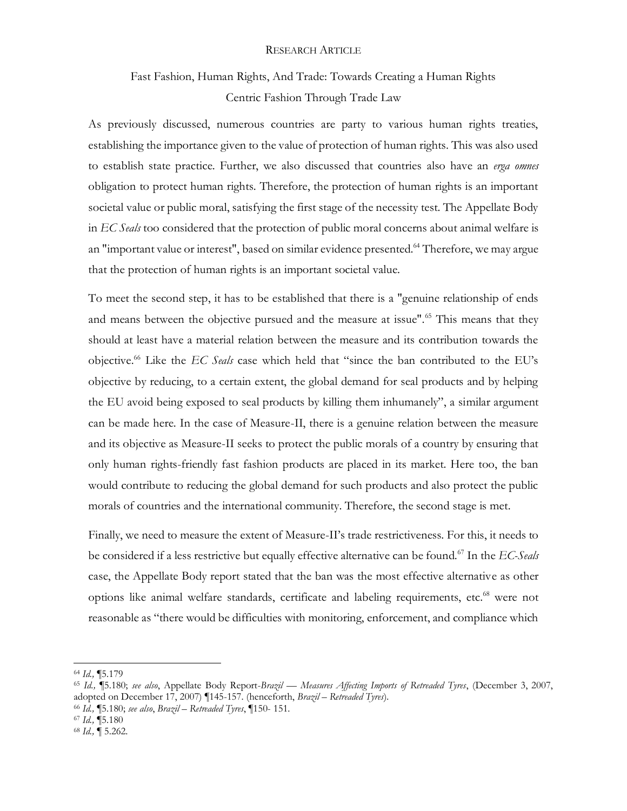# Fast Fashion, Human Rights, And Trade: Towards Creating a Human Rights Centric Fashion Through Trade Law

As previously discussed, numerous countries are party to various human rights treaties, establishing the importance given to the value of protection of human rights. This was also used to establish state practice. Further, we also discussed that countries also have an *erga omnes*  obligation to protect human rights. Therefore, the protection of human rights is an important societal value or public moral, satisfying the first stage of the necessity test. The Appellate Body in *EC Seals* too considered that the protection of public moral concerns about animal welfare is an "important value or interest", based on similar evidence presented.<sup>64</sup> Therefore, we may argue that the protection of human rights is an important societal value.

To meet the second step, it has to be established that there is a "genuine relationship of ends and means between the objective pursued and the measure at issue".<sup>65</sup> This means that they should at least have a material relation between the measure and its contribution towards the objective.<sup>66</sup> Like the *EC Seals* case which held that "since the ban contributed to the EU's objective by reducing, to a certain extent, the global demand for seal products and by helping the EU avoid being exposed to seal products by killing them inhumanely", a similar argument can be made here. In the case of Measure-II, there is a genuine relation between the measure and its objective as Measure-II seeks to protect the public morals of a country by ensuring that only human rights-friendly fast fashion products are placed in its market. Here too, the ban would contribute to reducing the global demand for such products and also protect the public morals of countries and the international community. Therefore, the second stage is met.

Finally, we need to measure the extent of Measure-II's trade restrictiveness. For this, it needs to be considered if a less restrictive but equally effective alternative can be found.<sup>67</sup> In the *EC-Seals*  case, the Appellate Body report stated that the ban was the most effective alternative as other options like animal welfare standards, certificate and labeling requirements, etc.<sup>68</sup> were not reasonable as "there would be difficulties with monitoring, enforcement, and compliance which

- <sup>66</sup> *Id.,* ¶5.180; *see also*, *Brazil – Retreaded Tyres*, *¶*150- 151.
- <sup>67</sup> *Id.,* ¶5.180

<sup>64</sup> *Id.,* ¶5.179

<sup>65</sup> *Id.,* ¶5.180; *see also*, Appellate Body Report-*Brazil — Measures Affecting Imports of Retreaded Tyres*, (December 3, 2007, adopted on December 17, 2007) *¶*145-157. (henceforth, *Brazil – Retreaded Tyres*)*.*

<sup>68</sup> *Id.,* ¶ 5.262.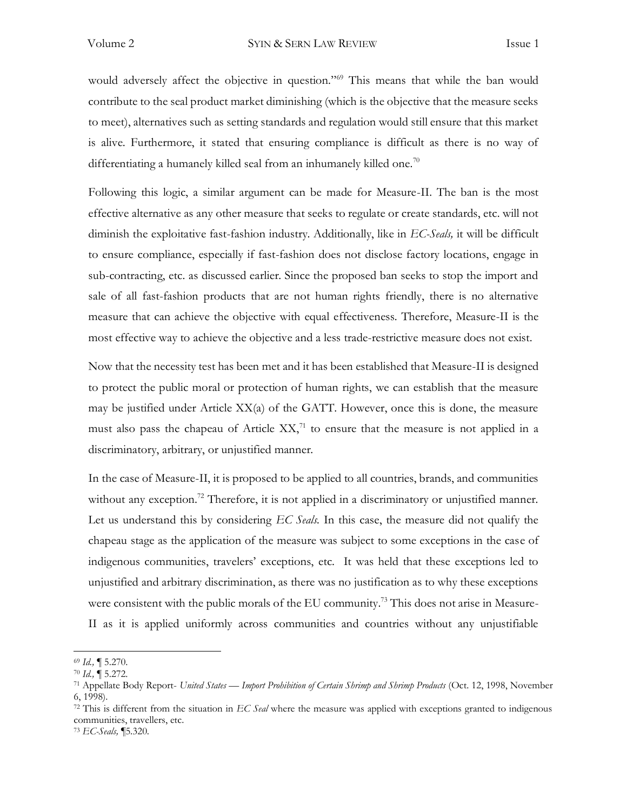would adversely affect the objective in question."<sup>69</sup> This means that while the ban would contribute to the seal product market diminishing (which is the objective that the measure seeks to meet), alternatives such as setting standards and regulation would still ensure that this market is alive. Furthermore, it stated that ensuring compliance is difficult as there is no way of differentiating a humanely killed seal from an inhumanely killed one.<sup>70</sup>

Following this logic, a similar argument can be made for Measure-II. The ban is the most effective alternative as any other measure that seeks to regulate or create standards, etc. will not diminish the exploitative fast-fashion industry. Additionally, like in *EC-Seals,* it will be difficult to ensure compliance, especially if fast-fashion does not disclose factory locations, engage in sub-contracting, etc. as discussed earlier. Since the proposed ban seeks to stop the import and sale of all fast-fashion products that are not human rights friendly, there is no alternative measure that can achieve the objective with equal effectiveness. Therefore, Measure-II is the most effective way to achieve the objective and a less trade-restrictive measure does not exist.

Now that the necessity test has been met and it has been established that Measure-II is designed to protect the public moral or protection of human rights, we can establish that the measure may be justified under Article XX(a) of the GATT. However, once this is done, the measure must also pass the chapeau of Article  $XX<sub>1</sub><sup>71</sup>$  to ensure that the measure is not applied in a discriminatory, arbitrary, or unjustified manner.

In the case of Measure-II, it is proposed to be applied to all countries, brands, and communities without any exception.<sup>72</sup> Therefore, it is not applied in a discriminatory or unjustified manner. Let us understand this by considering *EC Seals.* In this case, the measure did not qualify the chapeau stage as the application of the measure was subject to some exceptions in the case of indigenous communities, travelers' exceptions, etc. It was held that these exceptions led to unjustified and arbitrary discrimination, as there was no justification as to why these exceptions were consistent with the public morals of the EU community.<sup>73</sup> This does not arise in Measure-II as it is applied uniformly across communities and countries without any unjustifiable

<sup>69</sup> *Id.,* ¶ 5.270.

<sup>70</sup> *Id.,* ¶ 5.272.

<sup>71</sup> Appellate Body Report- *United States — Import Prohibition of Certain Shrimp and Shrimp Products* (Oct. 12, 1998, November 6, 1998).

<sup>72</sup> This is different from the situation in *EC Seal* where the measure was applied with exceptions granted to indigenous communities, travellers, etc.

<sup>73</sup> *EC-Seals,* ¶5.320.